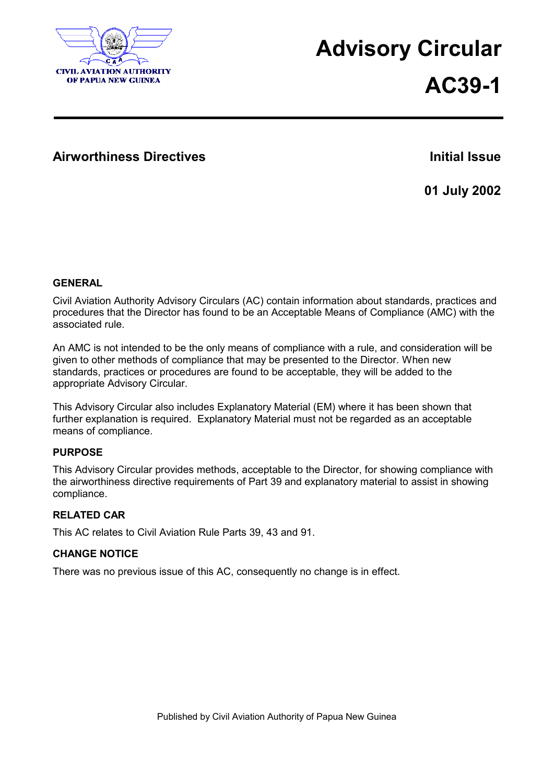

## **Advisory Circular**

# **AC39-1**

### **Airworthiness Directives Initial Issue**

**01 July 2002**

#### **GENERAL**

Civil Aviation Authority Advisory Circulars (AC) contain information about standards, practices and procedures that the Director has found to be an Acceptable Means of Compliance (AMC) with the associated rule.

An AMC is not intended to be the only means of compliance with a rule, and consideration will be given to other methods of compliance that may be presented to the Director. When new standards, practices or procedures are found to be acceptable, they will be added to the appropriate Advisory Circular.

This Advisory Circular also includes Explanatory Material (EM) where it has been shown that further explanation is required. Explanatory Material must not be regarded as an acceptable means of compliance.

#### **PURPOSE**

This Advisory Circular provides methods, acceptable to the Director, for showing compliance with the airworthiness directive requirements of Part 39 and explanatory material to assist in showing compliance.

#### **RELATED CAR**

This AC relates to Civil Aviation Rule Parts 39, 43 and 91.

#### **CHANGE NOTICE**

There was no previous issue of this AC, consequently no change is in effect.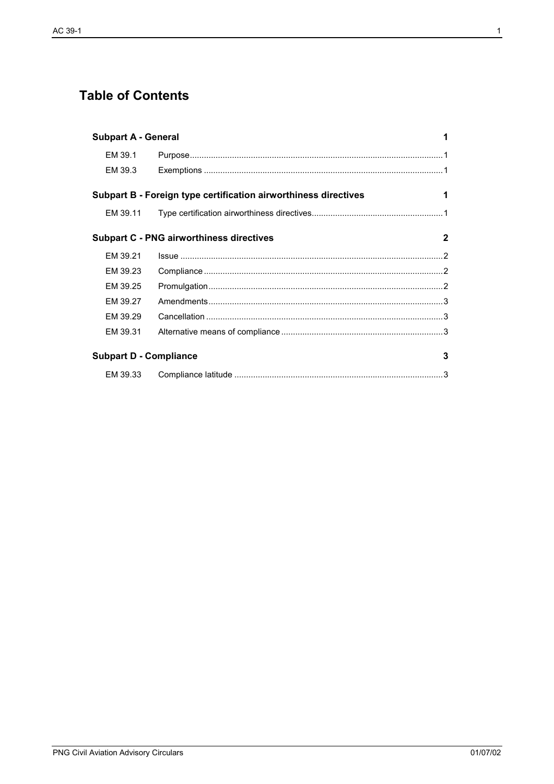## **Table of Contents**

| <b>Subpart A - General</b>                                           |  |              |
|----------------------------------------------------------------------|--|--------------|
| EM 39.1                                                              |  |              |
| EM 39.3                                                              |  |              |
| Subpart B - Foreign type certification airworthiness directives<br>1 |  |              |
| EM 39.11                                                             |  |              |
| <b>Subpart C - PNG airworthiness directives</b>                      |  | $\mathbf{2}$ |
| EM 39.21                                                             |  |              |
| EM 39.23                                                             |  |              |
| EM 39.25                                                             |  |              |
| FM 39.27                                                             |  |              |
| EM 39.29                                                             |  |              |
| EM 39.31                                                             |  |              |
| <b>Subpart D - Compliance</b><br>3                                   |  |              |
| EM 39.33                                                             |  |              |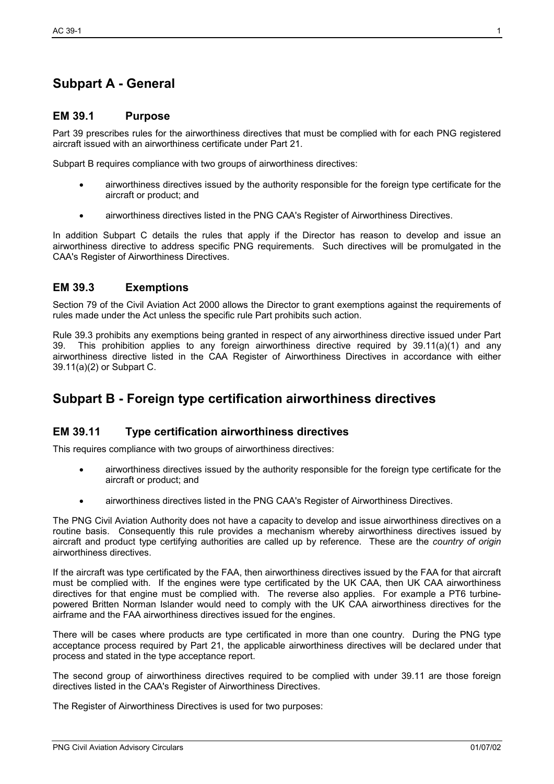## **Subpart A - General**

#### **EM 39.1 Purpose**

Part 39 prescribes rules for the airworthiness directives that must be complied with for each PNG registered aircraft issued with an airworthiness certificate under Part 21.

Subpart B requires compliance with two groups of airworthiness directives:

- airworthiness directives issued by the authority responsible for the foreign type certificate for the aircraft or product; and
- airworthiness directives listed in the PNG CAA's Register of Airworthiness Directives.

In addition Subpart C details the rules that apply if the Director has reason to develop and issue an airworthiness directive to address specific PNG requirements. Such directives will be promulgated in the CAA's Register of Airworthiness Directives.

#### **EM 39.3 Exemptions**

Section 79 of the Civil Aviation Act 2000 allows the Director to grant exemptions against the requirements of rules made under the Act unless the specific rule Part prohibits such action.

Rule 39.3 prohibits any exemptions being granted in respect of any airworthiness directive issued under Part 39. This prohibition applies to any foreign airworthiness directive required by 39.11(a)(1) and any airworthiness directive listed in the CAA Register of Airworthiness Directives in accordance with either 39.11(a)(2) or Subpart C.

## **Subpart B - Foreign type certification airworthiness directives**

#### **EM 39.11 Type certification airworthiness directives**

This requires compliance with two groups of airworthiness directives:

- airworthiness directives issued by the authority responsible for the foreign type certificate for the aircraft or product; and
- airworthiness directives listed in the PNG CAA's Register of Airworthiness Directives.

The PNG Civil Aviation Authority does not have a capacity to develop and issue airworthiness directives on a routine basis. Consequently this rule provides a mechanism whereby airworthiness directives issued by aircraft and product type certifying authorities are called up by reference. These are the *country of origin* airworthiness directives.

If the aircraft was type certificated by the FAA, then airworthiness directives issued by the FAA for that aircraft must be complied with. If the engines were type certificated by the UK CAA, then UK CAA airworthiness directives for that engine must be complied with. The reverse also applies. For example a PT6 turbinepowered Britten Norman Islander would need to comply with the UK CAA airworthiness directives for the airframe and the FAA airworthiness directives issued for the engines.

There will be cases where products are type certificated in more than one country. During the PNG type acceptance process required by Part 21, the applicable airworthiness directives will be declared under that process and stated in the type acceptance report.

The second group of airworthiness directives required to be complied with under 39.11 are those foreign directives listed in the CAA's Register of Airworthiness Directives.

The Register of Airworthiness Directives is used for two purposes: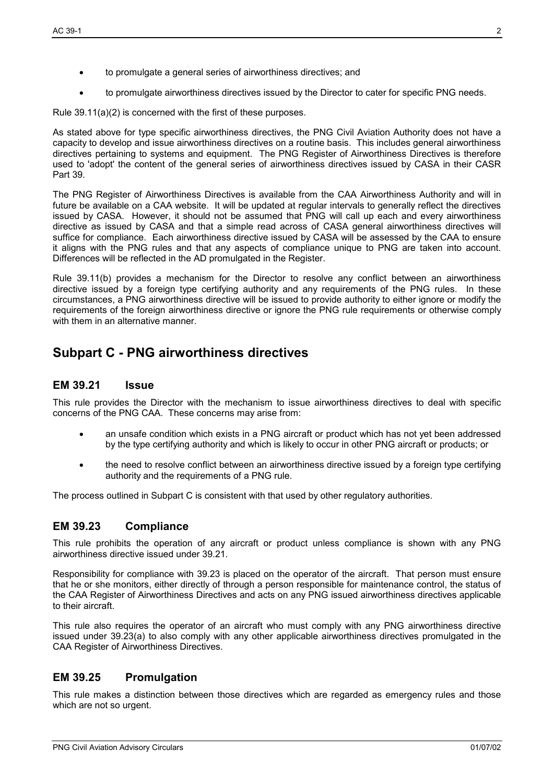- to promulgate a general series of airworthiness directives; and
- to promulgate airworthiness directives issued by the Director to cater for specific PNG needs.

Rule 39.11(a)(2) is concerned with the first of these purposes.

As stated above for type specific airworthiness directives, the PNG Civil Aviation Authority does not have a capacity to develop and issue airworthiness directives on a routine basis. This includes general airworthiness directives pertaining to systems and equipment. The PNG Register of Airworthiness Directives is therefore used to 'adopt' the content of the general series of airworthiness directives issued by CASA in their CASR Part 39.

The PNG Register of Airworthiness Directives is available from the CAA Airworthiness Authority and will in future be available on a CAA website. It will be updated at regular intervals to generally reflect the directives issued by CASA. However, it should not be assumed that PNG will call up each and every airworthiness directive as issued by CASA and that a simple read across of CASA general airworthiness directives will suffice for compliance. Each airworthiness directive issued by CASA will be assessed by the CAA to ensure it aligns with the PNG rules and that any aspects of compliance unique to PNG are taken into account. Differences will be reflected in the AD promulgated in the Register.

Rule 39.11(b) provides a mechanism for the Director to resolve any conflict between an airworthiness directive issued by a foreign type certifying authority and any requirements of the PNG rules. In these circumstances, a PNG airworthiness directive will be issued to provide authority to either ignore or modify the requirements of the foreign airworthiness directive or ignore the PNG rule requirements or otherwise comply with them in an alternative manner.

## **Subpart C - PNG airworthiness directives**

#### **EM 39.21 Issue**

This rule provides the Director with the mechanism to issue airworthiness directives to deal with specific concerns of the PNG CAA. These concerns may arise from:

- an unsafe condition which exists in a PNG aircraft or product which has not yet been addressed by the type certifying authority and which is likely to occur in other PNG aircraft or products; or
- the need to resolve conflict between an airworthiness directive issued by a foreign type certifying authority and the requirements of a PNG rule.

The process outlined in Subpart C is consistent with that used by other regulatory authorities.

#### **EM 39.23 Compliance**

This rule prohibits the operation of any aircraft or product unless compliance is shown with any PNG airworthiness directive issued under 39.21.

Responsibility for compliance with 39.23 is placed on the operator of the aircraft. That person must ensure that he or she monitors, either directly of through a person responsible for maintenance control, the status of the CAA Register of Airworthiness Directives and acts on any PNG issued airworthiness directives applicable to their aircraft.

This rule also requires the operator of an aircraft who must comply with any PNG airworthiness directive issued under 39.23(a) to also comply with any other applicable airworthiness directives promulgated in the CAA Register of Airworthiness Directives.

#### **EM 39.25 Promulgation**

This rule makes a distinction between those directives which are regarded as emergency rules and those which are not so urgent.